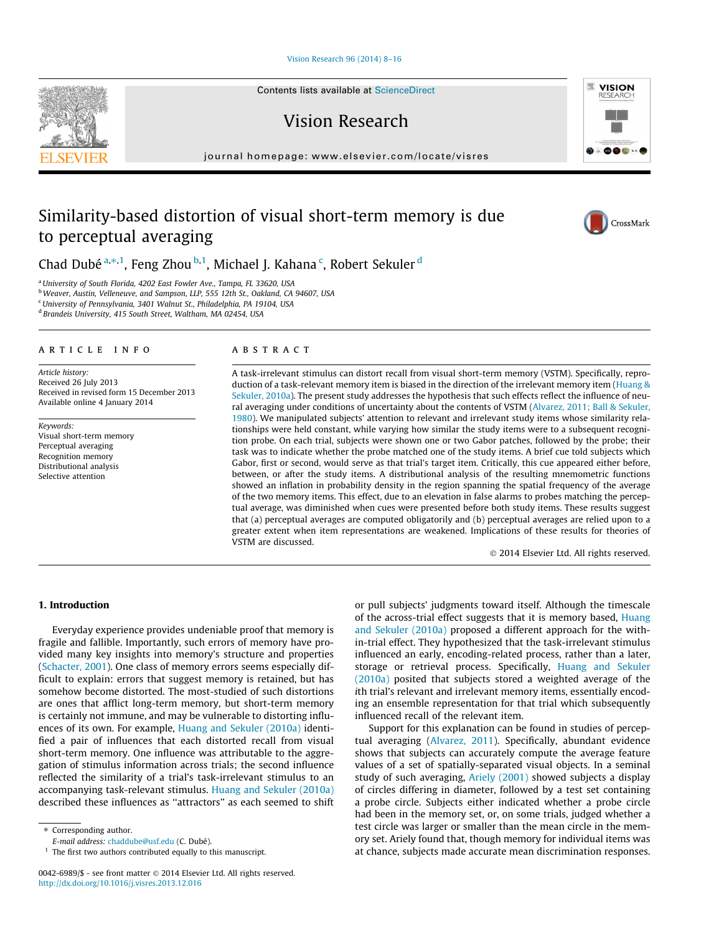#### [Vision Research 96 \(2014\) 8–16](http://dx.doi.org/10.1016/j.visres.2013.12.016)

Contents lists available at [ScienceDirect](http://www.sciencedirect.com/science/journal/00426989)

## Vision Research

journal homepage: [www.elsevier.com/locate/visres](http://www.elsevier.com/locate/visres)

# Similarity-based distortion of visual short-term memory is due to perceptual averaging

Chad Dubé <sup>a, $\ast$ ,1, Feng Zhou <sup>b,1</sup>, Michael J. Kahana <sup>c</sup>, Robert Sekuler <sup>d</sup></sup>

<sup>a</sup>University of South Florida, 4202 East Fowler Ave., Tampa, FL 33620, USA

<sup>b</sup> Weaver, Austin, Velleneuve, and Sampson, LLP, 555 12th St., Oakland, CA 94607, USA

<sup>c</sup>University of Pennsylvania, 3401 Walnut St., Philadelphia, PA 19104, USA

<sup>d</sup> Brandeis University, 415 South Street, Waltham, MA 02454, USA

## article info

Article history: Received 26 July 2013 Received in revised form 15 December 2013 Available online 4 January 2014

Keywords: Visual short-term memory Perceptual averaging Recognition memory Distributional analysis Selective attention

## **ABSTRACT**

A task-irrelevant stimulus can distort recall from visual short-term memory (VSTM). Specifically, reproduction of a task-relevant memory item is biased in the direction of the irrelevant memory item ([Huang &](#page-8-0) [Sekuler, 2010a\)](#page-8-0). The present study addresses the hypothesis that such effects reflect the influence of neural averaging under conditions of uncertainty about the contents of VSTM ([Alvarez, 2011; Ball & Sekuler,](#page-8-0) [1980](#page-8-0)). We manipulated subjects' attention to relevant and irrelevant study items whose similarity relationships were held constant, while varying how similar the study items were to a subsequent recognition probe. On each trial, subjects were shown one or two Gabor patches, followed by the probe; their task was to indicate whether the probe matched one of the study items. A brief cue told subjects which Gabor, first or second, would serve as that trial's target item. Critically, this cue appeared either before, between, or after the study items. A distributional analysis of the resulting mnemometric functions showed an inflation in probability density in the region spanning the spatial frequency of the average of the two memory items. This effect, due to an elevation in false alarms to probes matching the perceptual average, was diminished when cues were presented before both study items. These results suggest that (a) perceptual averages are computed obligatorily and (b) perceptual averages are relied upon to a greater extent when item representations are weakened. Implications of these results for theories of VSTM are discussed.

- 2014 Elsevier Ltd. All rights reserved.

## 1. Introduction

Everyday experience provides undeniable proof that memory is fragile and fallible. Importantly, such errors of memory have provided many key insights into memory's structure and properties ([Schacter, 2001\)](#page-8-0). One class of memory errors seems especially difficult to explain: errors that suggest memory is retained, but has somehow become distorted. The most-studied of such distortions are ones that afflict long-term memory, but short-term memory is certainly not immune, and may be vulnerable to distorting influences of its own. For example, [Huang and Sekuler \(2010a\)](#page-8-0) identified a pair of influences that each distorted recall from visual short-term memory. One influence was attributable to the aggregation of stimulus information across trials; the second influence reflected the similarity of a trial's task-irrelevant stimulus to an accompanying task-relevant stimulus. [Huang and Sekuler \(2010a\)](#page-8-0) described these influences as ''attractors'' as each seemed to shift or pull subjects' judgments toward itself. Although the timescale of the across-trial effect suggests that it is memory based, [Huang](#page-8-0) [and Sekuler \(2010a\)](#page-8-0) proposed a different approach for the within-trial effect. They hypothesized that the task-irrelevant stimulus influenced an early, encoding-related process, rather than a later, storage or retrieval process. Specifically, [Huang and Sekuler](#page-8-0) [\(2010a\)](#page-8-0) posited that subjects stored a weighted average of the ith trial's relevant and irrelevant memory items, essentially encoding an ensemble representation for that trial which subsequently influenced recall of the relevant item.

Support for this explanation can be found in studies of perceptual averaging ([Alvarez, 2011\)](#page-8-0). Specifically, abundant evidence shows that subjects can accurately compute the average feature values of a set of spatially-separated visual objects. In a seminal study of such averaging, [Ariely \(2001\)](#page-8-0) showed subjects a display of circles differing in diameter, followed by a test set containing a probe circle. Subjects either indicated whether a probe circle had been in the memory set, or, on some trials, judged whether a test circle was larger or smaller than the mean circle in the memory set. Ariely found that, though memory for individual items was at chance, subjects made accurate mean discrimination responses.







<sup>⇑</sup> Corresponding author.

E-mail address: [chaddube@usf.edu](mailto:chaddube@usf.edu) (C. Dubé).

 $1$  The first two authors contributed equally to this manuscript.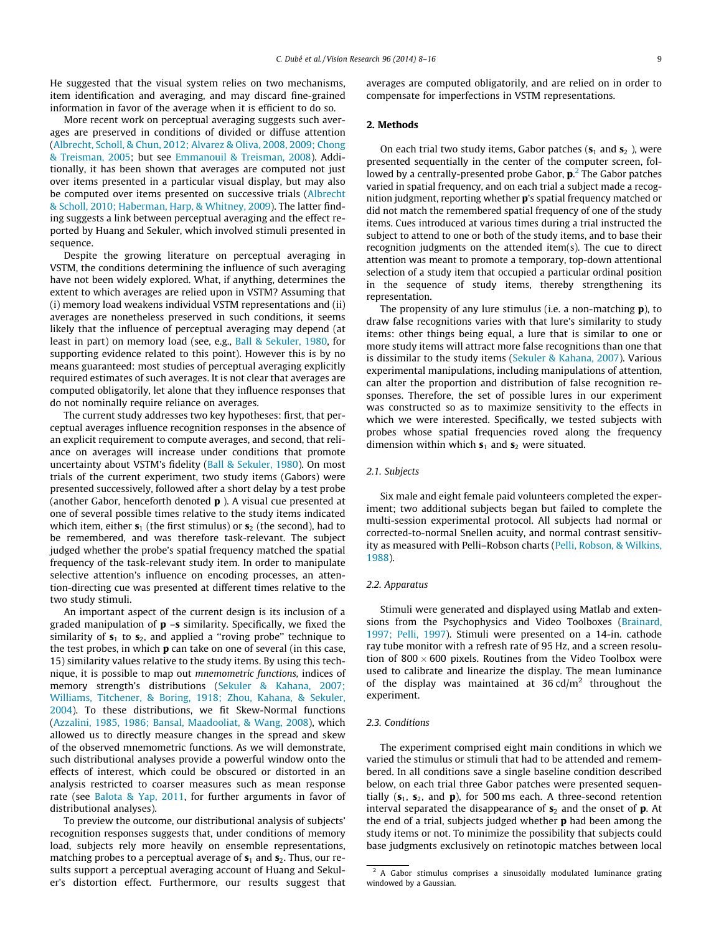He suggested that the visual system relies on two mechanisms, item identification and averaging, and may discard fine-grained information in favor of the average when it is efficient to do so.

More recent work on perceptual averaging suggests such averages are preserved in conditions of divided or diffuse attention ([Albrecht, Scholl, & Chun, 2012; Alvarez & Oliva, 2008, 2009; Chong](#page-8-0) [& Treisman, 2005;](#page-8-0) but see [Emmanouil & Treisman, 2008](#page-8-0)). Additionally, it has been shown that averages are computed not just over items presented in a particular visual display, but may also be computed over items presented on successive trials ([Albrecht](#page-8-0) [& Scholl, 2010; Haberman, Harp, & Whitney, 2009](#page-8-0)). The latter finding suggests a link between perceptual averaging and the effect reported by Huang and Sekuler, which involved stimuli presented in sequence.

Despite the growing literature on perceptual averaging in VSTM, the conditions determining the influence of such averaging have not been widely explored. What, if anything, determines the extent to which averages are relied upon in VSTM? Assuming that (i) memory load weakens individual VSTM representations and (ii) averages are nonetheless preserved in such conditions, it seems likely that the influence of perceptual averaging may depend (at least in part) on memory load (see, e.g., [Ball & Sekuler, 1980,](#page-8-0) for supporting evidence related to this point). However this is by no means guaranteed: most studies of perceptual averaging explicitly required estimates of such averages. It is not clear that averages are computed obligatorily, let alone that they influence responses that do not nominally require reliance on averages.

The current study addresses two key hypotheses: first, that perceptual averages influence recognition responses in the absence of an explicit requirement to compute averages, and second, that reliance on averages will increase under conditions that promote uncertainty about VSTM's fidelity [\(Ball & Sekuler, 1980](#page-8-0)). On most trials of the current experiment, two study items (Gabors) were presented successively, followed after a short delay by a test probe (another Gabor, henceforth denoted  $\bf{p}$  ). A visual cue presented at one of several possible times relative to the study items indicated which item, either  $s_1$  (the first stimulus) or  $s_2$  (the second), had to be remembered, and was therefore task-relevant. The subject judged whether the probe's spatial frequency matched the spatial frequency of the task-relevant study item. In order to manipulate selective attention's influence on encoding processes, an attention-directing cue was presented at different times relative to the two study stimuli.

An important aspect of the current design is its inclusion of a graded manipulation of  $\bf{p}$  –s similarity. Specifically, we fixed the similarity of  $s_1$  to  $s_2$ , and applied a "roving probe" technique to the test probes, in which p can take on one of several (in this case, 15) similarity values relative to the study items. By using this technique, it is possible to map out mnemometric functions, indices of memory strength's distributions ([Sekuler & Kahana, 2007;](#page-8-0) [Williams, Titchener, & Boring, 1918; Zhou, Kahana, & Sekuler,](#page-8-0) [2004](#page-8-0)). To these distributions, we fit Skew-Normal functions ([Azzalini, 1985, 1986; Bansal, Maadooliat, & Wang, 2008](#page-8-0)), which allowed us to directly measure changes in the spread and skew of the observed mnemometric functions. As we will demonstrate, such distributional analyses provide a powerful window onto the effects of interest, which could be obscured or distorted in an analysis restricted to coarser measures such as mean response rate (see [Balota & Yap, 2011,](#page-8-0) for further arguments in favor of distributional analyses).

To preview the outcome, our distributional analysis of subjects' recognition responses suggests that, under conditions of memory load, subjects rely more heavily on ensemble representations, matching probes to a perceptual average of  $s_1$  and  $s_2$ . Thus, our results support a perceptual averaging account of Huang and Sekuler's distortion effect. Furthermore, our results suggest that averages are computed obligatorily, and are relied on in order to compensate for imperfections in VSTM representations.

## 2. Methods

On each trial two study items, Gabor patches ( $s_1$  and  $s_2$ ), were presented sequentially in the center of the computer screen, followed by a centrally-presented probe Gabor, **p**.<sup>2</sup> The Gabor patches varied in spatial frequency, and on each trial a subject made a recognition judgment, reporting whether p's spatial frequency matched or did not match the remembered spatial frequency of one of the study items. Cues introduced at various times during a trial instructed the subject to attend to one or both of the study items, and to base their recognition judgments on the attended item(s). The cue to direct attention was meant to promote a temporary, top-down attentional selection of a study item that occupied a particular ordinal position in the sequence of study items, thereby strengthening its representation.

The propensity of any lure stimulus (i.e. a non-matching  $\mathbf{p}$ ), to draw false recognitions varies with that lure's similarity to study items: other things being equal, a lure that is similar to one or more study items will attract more false recognitions than one that is dissimilar to the study items ([Sekuler & Kahana, 2007](#page-8-0)). Various experimental manipulations, including manipulations of attention, can alter the proportion and distribution of false recognition responses. Therefore, the set of possible lures in our experiment was constructed so as to maximize sensitivity to the effects in which we were interested. Specifically, we tested subjects with probes whose spatial frequencies roved along the frequency dimension within which  $s_1$  and  $s_2$  were situated.

#### 2.1. Subjects

Six male and eight female paid volunteers completed the experiment; two additional subjects began but failed to complete the multi-session experimental protocol. All subjects had normal or corrected-to-normal Snellen acuity, and normal contrast sensitivity as measured with Pelli–Robson charts ([Pelli, Robson, & Wilkins,](#page-8-0) [1988\)](#page-8-0).

#### 2.2. Apparatus

Stimuli were generated and displayed using Matlab and extensions from the Psychophysics and Video Toolboxes [\(Brainard,](#page-8-0) [1997; Pelli, 1997\)](#page-8-0). Stimuli were presented on a 14-in. cathode ray tube monitor with a refresh rate of 95 Hz, and a screen resolution of 800  $\times$  600 pixels. Routines from the Video Toolbox were used to calibrate and linearize the display. The mean luminance of the display was maintained at  $36 \text{ cd/m}^2$  throughout the experiment.

## 2.3. Conditions

The experiment comprised eight main conditions in which we varied the stimulus or stimuli that had to be attended and remembered. In all conditions save a single baseline condition described below, on each trial three Gabor patches were presented sequentially  $(s_1, s_2,$  and **p**), for 500 ms each. A three-second retention interval separated the disappearance of  $s_2$  and the onset of **p**. At the end of a trial, subjects judged whether  $\mathbf p$  had been among the study items or not. To minimize the possibility that subjects could base judgments exclusively on retinotopic matches between local

<sup>&</sup>lt;sup>2</sup> A Gabor stimulus comprises a sinusoidally modulated luminance grating windowed by a Gaussian.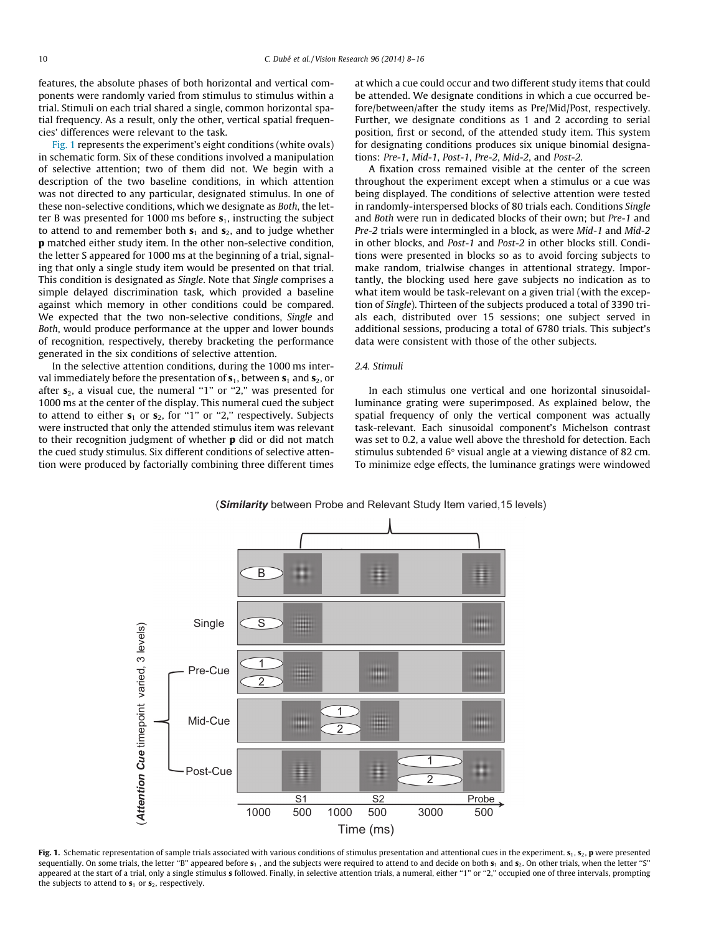features, the absolute phases of both horizontal and vertical components were randomly varied from stimulus to stimulus within a trial. Stimuli on each trial shared a single, common horizontal spatial frequency. As a result, only the other, vertical spatial frequencies' differences were relevant to the task.

Fig. 1 represents the experiment's eight conditions (white ovals) in schematic form. Six of these conditions involved a manipulation of selective attention; two of them did not. We begin with a description of the two baseline conditions, in which attention was not directed to any particular, designated stimulus. In one of these non-selective conditions, which we designate as Both, the letter B was presented for 1000 ms before  $s<sub>1</sub>$ , instructing the subject to attend to and remember both  $s_1$  and  $s_2$ , and to judge whether p matched either study item. In the other non-selective condition, the letter S appeared for 1000 ms at the beginning of a trial, signaling that only a single study item would be presented on that trial. This condition is designated as Single. Note that Single comprises a simple delayed discrimination task, which provided a baseline against which memory in other conditions could be compared. We expected that the two non-selective conditions, Single and Both, would produce performance at the upper and lower bounds of recognition, respectively, thereby bracketing the performance generated in the six conditions of selective attention.

In the selective attention conditions, during the 1000 ms interval immediately before the presentation of  $s_1$ , between  $s_1$  and  $s_2$ , or after  $s_2$ , a visual cue, the numeral "1" or "2," was presented for 1000 ms at the center of the display. This numeral cued the subject to attend to either  $s_1$  or  $s_2$ , for "1" or "2," respectively. Subjects were instructed that only the attended stimulus item was relevant to their recognition judgment of whether p did or did not match the cued study stimulus. Six different conditions of selective attention were produced by factorially combining three different times at which a cue could occur and two different study items that could be attended. We designate conditions in which a cue occurred before/between/after the study items as Pre/Mid/Post, respectively. Further, we designate conditions as 1 and 2 according to serial position, first or second, of the attended study item. This system for designating conditions produces six unique binomial designations: Pre-1, Mid-1, Post-1, Pre-2, Mid-2, and Post-2.

A fixation cross remained visible at the center of the screen throughout the experiment except when a stimulus or a cue was being displayed. The conditions of selective attention were tested in randomly-interspersed blocks of 80 trials each. Conditions Single and Both were run in dedicated blocks of their own; but Pre-1 and Pre-2 trials were intermingled in a block, as were Mid-1 and Mid-2 in other blocks, and Post-1 and Post-2 in other blocks still. Conditions were presented in blocks so as to avoid forcing subjects to make random, trialwise changes in attentional strategy. Importantly, the blocking used here gave subjects no indication as to what item would be task-relevant on a given trial (with the exception of Single). Thirteen of the subjects produced a total of 3390 trials each, distributed over 15 sessions; one subject served in additional sessions, producing a total of 6780 trials. This subject's data were consistent with those of the other subjects.

## 2.4. Stimuli

In each stimulus one vertical and one horizontal sinusoidalluminance grating were superimposed. As explained below, the spatial frequency of only the vertical component was actually task-relevant. Each sinusoidal component's Michelson contrast was set to 0.2, a value well above the threshold for detection. Each stimulus subtended  $6^{\circ}$  visual angle at a viewing distance of 82 cm. To minimize edge effects, the luminance gratings were windowed



Fig. 1. Schematic representation of sample trials associated with various conditions of stimulus presentation and attentional cues in the experiment.  $s_1$ ,  $s_2$ , p were presented sequentially. On some trials, the letter "B" appeared before  $s_1$ , and the subjects were required to attend to and decide on both  $s_1$  and  $s_2$ . On other trials, when the letter "S" appeared at the start of a trial, only a single stimulus s followed. Finally, in selective attention trials, a numeral, either "1" or "2," occupied one of three intervals, prompting the subjects to attend to  $s_1$  or  $s_2$ , respectively.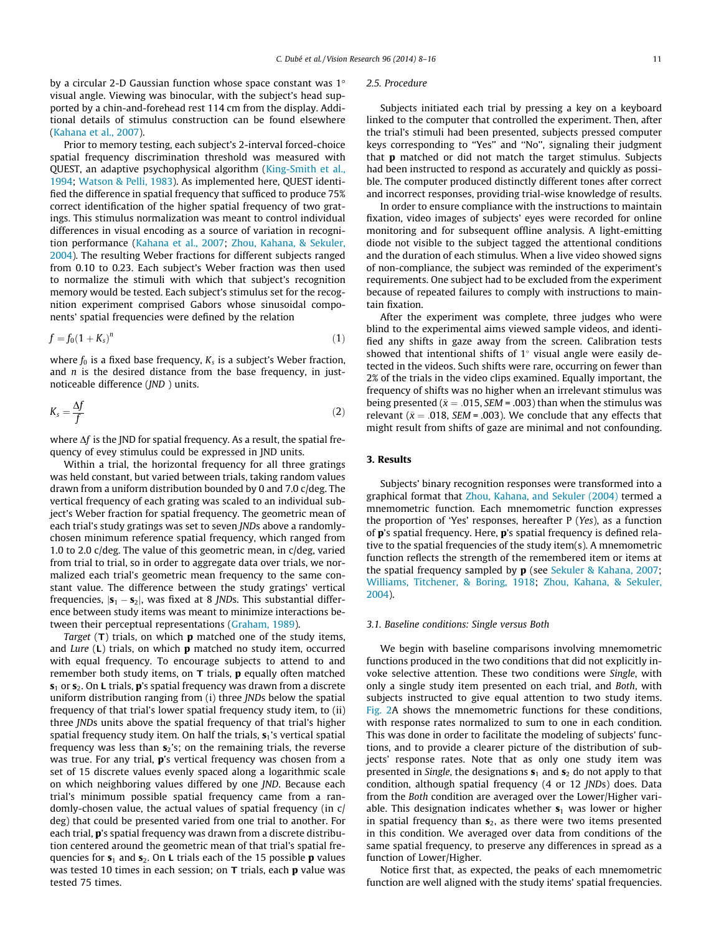by a circular 2-D Gaussian function whose space constant was 1 visual angle. Viewing was binocular, with the subject's head supported by a chin-and-forehead rest 114 cm from the display. Additional details of stimulus construction can be found elsewhere ([Kahana et al., 2007](#page-8-0)).

Prior to memory testing, each subject's 2-interval forced-choice spatial frequency discrimination threshold was measured with QUEST, an adaptive psychophysical algorithm [\(King-Smith et al.,](#page-8-0) [1994;](#page-8-0) [Watson & Pelli, 1983\)](#page-8-0). As implemented here, QUEST identified the difference in spatial frequency that sufficed to produce 75% correct identification of the higher spatial frequency of two gratings. This stimulus normalization was meant to control individual differences in visual encoding as a source of variation in recognition performance ([Kahana et al., 2007;](#page-8-0) [Zhou, Kahana, & Sekuler,](#page-8-0) [2004](#page-8-0)). The resulting Weber fractions for different subjects ranged from 0.10 to 0.23. Each subject's Weber fraction was then used to normalize the stimuli with which that subject's recognition memory would be tested. Each subject's stimulus set for the recognition experiment comprised Gabors whose sinusoidal components' spatial frequencies were defined by the relation

$$
f = f_0 \left(1 + K_s\right)^n \tag{1}
$$

where  $f_0$  is a fixed base frequency,  $K_s$  is a subject's Weber fraction, and  $n$  is the desired distance from the base frequency, in justnoticeable difference (JND ) units.

$$
K_s = \frac{\Delta f}{f} \tag{2}
$$

where  $\Delta f$  is the JND for spatial frequency. As a result, the spatial frequency of evey stimulus could be expressed in JND units.

Within a trial, the horizontal frequency for all three gratings was held constant, but varied between trials, taking random values drawn from a uniform distribution bounded by 0 and 7.0 c/deg. The vertical frequency of each grating was scaled to an individual subject's Weber fraction for spatial frequency. The geometric mean of each trial's study gratings was set to seven JNDs above a randomlychosen minimum reference spatial frequency, which ranged from 1.0 to 2.0 c/deg. The value of this geometric mean, in c/deg, varied from trial to trial, so in order to aggregate data over trials, we normalized each trial's geometric mean frequency to the same constant value. The difference between the study gratings' vertical frequencies,  $|s_1 - s_2|$ , was fixed at 8 *JNDs*. This substantial difference between study items was meant to minimize interactions between their perceptual representations ([Graham, 1989](#page-8-0)).

Target  $(T)$  trials, on which **p** matched one of the study items, and Lure  $(L)$  trials, on which **p** matched no study item, occurred with equal frequency. To encourage subjects to attend to and remember both study items, on  $T$  trials,  $p$  equally often matched  $s_1$  or  $s_2$ . On L trials, **p**'s spatial frequency was drawn from a discrete uniform distribution ranging from (i) three JNDs below the spatial frequency of that trial's lower spatial frequency study item, to (ii) three JNDs units above the spatial frequency of that trial's higher spatial frequency study item. On half the trials,  $s<sub>1</sub>$ 's vertical spatial frequency was less than  $s_2$ 's; on the remaining trials, the reverse was true. For any trial, p's vertical frequency was chosen from a set of 15 discrete values evenly spaced along a logarithmic scale on which neighboring values differed by one JND. Because each trial's minimum possible spatial frequency came from a randomly-chosen value, the actual values of spatial frequency (in c/ deg) that could be presented varied from one trial to another. For each trial, p's spatial frequency was drawn from a discrete distribution centered around the geometric mean of that trial's spatial frequencies for  $s_1$  and  $s_2$ . On L trials each of the 15 possible **p** values was tested 10 times in each session; on T trials, each p value was tested 75 times.

#### 2.5. Procedure

Subjects initiated each trial by pressing a key on a keyboard linked to the computer that controlled the experiment. Then, after the trial's stimuli had been presented, subjects pressed computer keys corresponding to ''Yes'' and ''No'', signaling their judgment that **p** matched or did not match the target stimulus. Subjects had been instructed to respond as accurately and quickly as possible. The computer produced distinctly different tones after correct and incorrect responses, providing trial-wise knowledge of results.

In order to ensure compliance with the instructions to maintain fixation, video images of subjects' eyes were recorded for online monitoring and for subsequent offline analysis. A light-emitting diode not visible to the subject tagged the attentional conditions and the duration of each stimulus. When a live video showed signs of non-compliance, the subject was reminded of the experiment's requirements. One subject had to be excluded from the experiment because of repeated failures to comply with instructions to maintain fixation.

After the experiment was complete, three judges who were blind to the experimental aims viewed sample videos, and identified any shifts in gaze away from the screen. Calibration tests showed that intentional shifts of  $1^\circ$  visual angle were easily detected in the videos. Such shifts were rare, occurring on fewer than 2% of the trials in the video clips examined. Equally important, the frequency of shifts was no higher when an irrelevant stimulus was being presented ( $\bar{x} = .015$ , SEM = .003) than when the stimulus was relevant ( $\bar{x} = .018$ , SEM = .003). We conclude that any effects that might result from shifts of gaze are minimal and not confounding.

## 3. Results

Subjects' binary recognition responses were transformed into a graphical format that [Zhou, Kahana, and Sekuler \(2004\)](#page-8-0) termed a mnemometric function. Each mnemometric function expresses the proportion of 'Yes' responses, hereafter P (Yes), as a function of p's spatial frequency. Here, p's spatial frequency is defined relative to the spatial frequencies of the study item(s). A mnemometric function reflects the strength of the remembered item or items at the spatial frequency sampled by p (see [Sekuler & Kahana, 2007;](#page-8-0) [Williams, Titchener, & Boring, 1918;](#page-8-0) [Zhou, Kahana, & Sekuler,](#page-8-0) [2004](#page-8-0)).

### 3.1. Baseline conditions: Single versus Both

We begin with baseline comparisons involving mnemometric functions produced in the two conditions that did not explicitly invoke selective attention. These two conditions were Single, with only a single study item presented on each trial, and Both, with subjects instructed to give equal attention to two study items. [Fig. 2](#page-4-0)A shows the mnemometric functions for these conditions, with response rates normalized to sum to one in each condition. This was done in order to facilitate the modeling of subjects' functions, and to provide a clearer picture of the distribution of subjects' response rates. Note that as only one study item was presented in Single, the designations  $s_1$  and  $s_2$  do not apply to that condition, although spatial frequency (4 or 12 JNDs) does. Data from the Both condition are averaged over the Lower/Higher variable. This designation indicates whether  $s_1$  was lower or higher in spatial frequency than  $s_2$ , as there were two items presented in this condition. We averaged over data from conditions of the same spatial frequency, to preserve any differences in spread as a function of Lower/Higher.

Notice first that, as expected, the peaks of each mnemometric function are well aligned with the study items' spatial frequencies.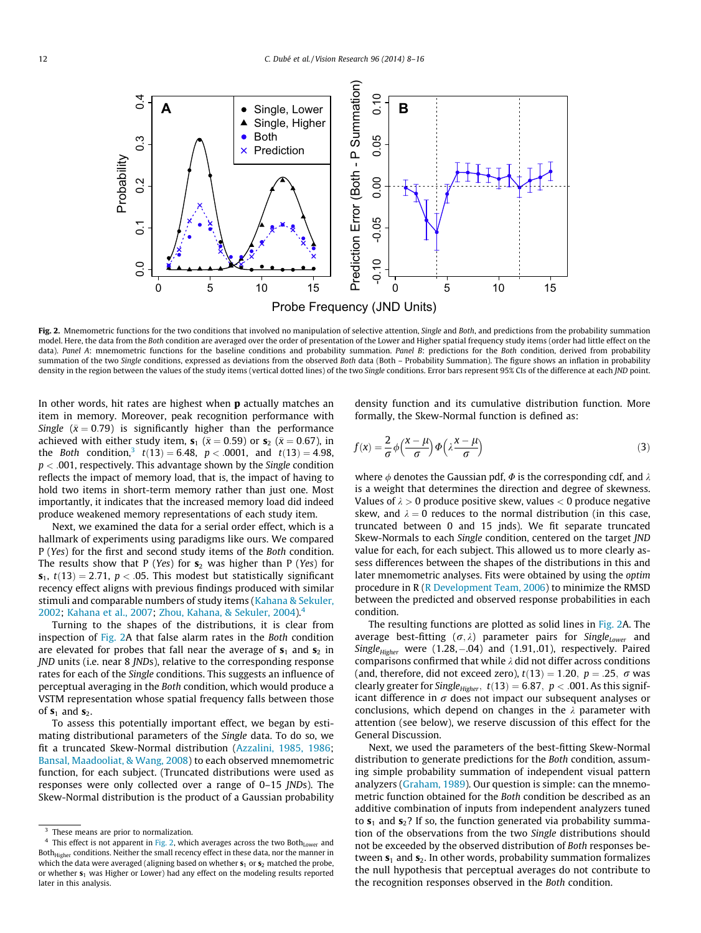<span id="page-4-0"></span>

Fig. 2. Mnemometric functions for the two conditions that involved no manipulation of selective attention. Single and Both, and predictions from the probability summation model. Here, the data from the Both condition are averaged over the order of presentation of the Lower and Higher spatial frequency study items (order had little effect on the data). Panel A: mnemometric functions for the baseline conditions and probability summation. Panel B: predictions for the Both condition, derived from probability summation of the two Single conditions, expressed as deviations from the observed Both data (Both – Probability Summation). The figure shows an inflation in probability density in the region between the values of the study items (vertical dotted lines) of the two Single conditions. Error bars represent 95% CIs of the difference at each JND point.

In other words, hit rates are highest when p actually matches an item in memory. Moreover, peak recognition performance with Single ( $\bar{x} = 0.79$ ) is significantly higher than the performance achieved with either study item,  $\boldsymbol{s}_1$   $(\bar{x}=0.59)$  or  $\boldsymbol{s}_2$   $(\bar{x}=0.67)$ , in the Both condition,<sup>3</sup>  $t(13) = 6.48$ ,  $p < .0001$ , and  $t(13) = 4.98$ ,  $p < .001$ , respectively. This advantage shown by the *Single* condition reflects the impact of memory load, that is, the impact of having to hold two items in short-term memory rather than just one. Most importantly, it indicates that the increased memory load did indeed produce weakened memory representations of each study item.

Next, we examined the data for a serial order effect, which is a hallmark of experiments using paradigms like ours. We compared P (Yes) for the first and second study items of the Both condition. The results show that P (Yes) for  $s_2$  was higher than P (Yes) for  $s_1$ ,  $t(13) = 2.71$ ,  $p < .05$ . This modest but statistically significant recency effect aligns with previous findings produced with similar stimuli and comparable numbers of study items ([Kahana & Sekuler,](#page-8-0) [2002;](#page-8-0) [Kahana et al., 2007;](#page-8-0) [Zhou, Kahana, & Sekuler, 2004](#page-8-0)).4

Turning to the shapes of the distributions, it is clear from inspection of Fig. 2A that false alarm rates in the Both condition are elevated for probes that fall near the average of  $s_1$  and  $s_2$  in JND units (i.e. near 8 JNDs), relative to the corresponding response rates for each of the Single conditions. This suggests an influence of perceptual averaging in the Both condition, which would produce a VSTM representation whose spatial frequency falls between those of  $s_1$  and  $s_2$ .

To assess this potentially important effect, we began by estimating distributional parameters of the Single data. To do so, we fit a truncated Skew-Normal distribution ([Azzalini, 1985, 1986;](#page-8-0) [Bansal, Maadooliat, & Wang, 2008](#page-8-0)) to each observed mnemometric function, for each subject. (Truncated distributions were used as responses were only collected over a range of 0–15 JNDs). The Skew-Normal distribution is the product of a Gaussian probability

density function and its cumulative distribution function. More formally, the Skew-Normal function is defined as:

$$
f(x) = \frac{2}{\sigma} \phi \left( \frac{x - \mu}{\sigma} \right) \Phi \left( \lambda \frac{x - \mu}{\sigma} \right) \tag{3}
$$

where  $\phi$  denotes the Gaussian pdf,  $\Phi$  is the corresponding cdf, and  $\lambda$ is a weight that determines the direction and degree of skewness. Values of  $\lambda > 0$  produce positive skew, values  $< 0$  produce negative skew, and  $\lambda = 0$  reduces to the normal distribution (in this case, truncated between 0 and 15 jnds). We fit separate truncated Skew-Normals to each Single condition, centered on the target JND value for each, for each subject. This allowed us to more clearly assess differences between the shapes of the distributions in this and later mnemometric analyses. Fits were obtained by using the optim procedure in R [\(R Development Team, 2006\)](#page-8-0) to minimize the RMSD between the predicted and observed response probabilities in each condition.

The resulting functions are plotted as solid lines in Fig. 2A. The average best-fitting  $(\sigma, \lambda)$  parameter pairs for Single<sub>Lower</sub> and Single<sub>Higher</sub> were (1.28, -.04) and (1.91,.01), respectively. Paired comparisons confirmed that while  $\lambda$  did not differ across conditions (and, therefore, did not exceed zero),  $t(13) = 1.20$ ,  $p = .25$ ,  $\sigma$  was clearly greater for Single<sub>Higher</sub>,  $t(13) = 6.87$ ,  $p < .001$ . As this significant difference in  $\sigma$  does not impact our subsequent analyses or conclusions, which depend on changes in the  $\lambda$  parameter with attention (see below), we reserve discussion of this effect for the General Discussion.

Next, we used the parameters of the best-fitting Skew-Normal distribution to generate predictions for the Both condition, assuming simple probability summation of independent visual pattern analyzers [\(Graham, 1989](#page-8-0)). Our question is simple: can the mnemometric function obtained for the Both condition be described as an additive combination of inputs from independent analyzers tuned to  $s_1$  and  $s_2$ ? If so, the function generated via probability summation of the observations from the two Single distributions should not be exceeded by the observed distribution of Both responses between  $s_1$  and  $s_2$ . In other words, probability summation formalizes the null hypothesis that perceptual averages do not contribute to the recognition responses observed in the Both condition.

<sup>&</sup>lt;sup>3</sup> These means are prior to normalization.

 $4$  This effect is not apparent in Fig. 2, which averages across the two Both<sub>Lower</sub> and Both<sub>Higher</sub> conditions. Neither the small recency effect in these data, nor the manner in which the data were averaged (aligning based on whether  $s_1$  or  $s_2$  matched the probe, or whether  $s_1$  was Higher or Lower) had any effect on the modeling results reported later in this analysis.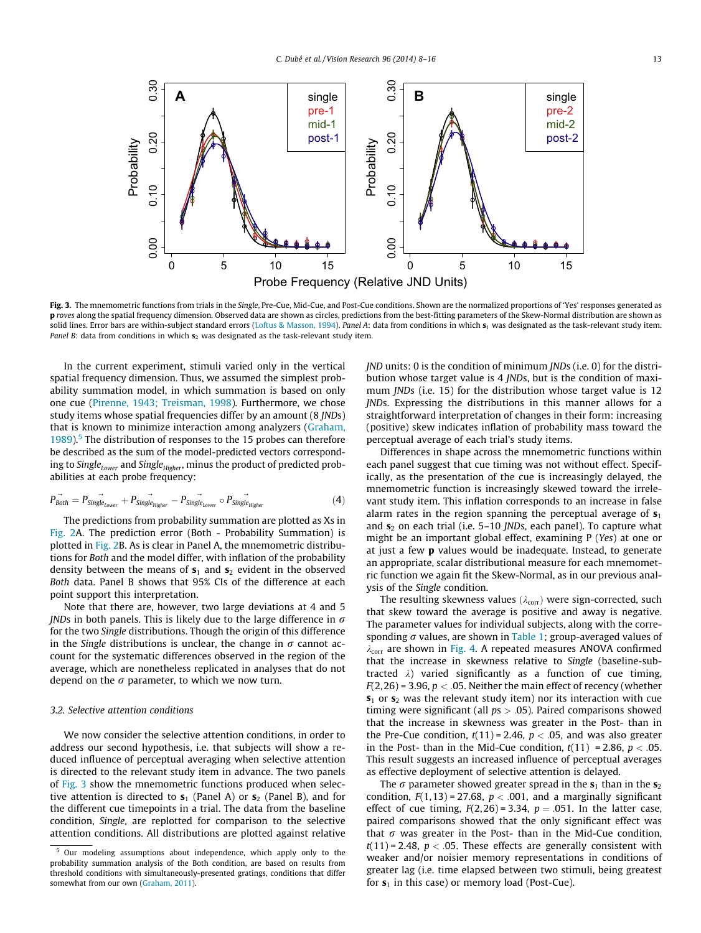<span id="page-5-0"></span>

Fig. 3. The mnemometric functions from trials in the Single, Pre-Cue, Mid-Cue, and Post-Cue conditions. Shown are the normalized proportions of 'Yes' responses generated as p roves along the spatial frequency dimension. Observed data are shown as circles, predictions from the best-fitting parameters of the Skew-Normal distribution are shown as solid lines. Error bars are within-subject standard errors ([Loftus & Masson, 1994](#page-8-0)). Panel A: data from conditions in which  $s_1$  was designated as the task-relevant study item. Panel B: data from conditions in which  $s_2$  was designated as the task-relevant study item.

In the current experiment, stimuli varied only in the vertical spatial frequency dimension. Thus, we assumed the simplest probability summation model, in which summation is based on only one cue ([Pirenne, 1943; Treisman, 1998\)](#page-8-0). Furthermore, we chose study items whose spatial frequencies differ by an amount (8 JNDs) that is known to minimize interaction among analyzers ([Graham,](#page-8-0)  $1989$ .<sup>5</sup> The distribution of responses to the 15 probes can therefore be described as the sum of the model-predicted vectors corresponding to Single<sub>Lower</sub> and Single<sub>Higher</sub>, minus the product of predicted probabilities at each probe frequency:

$$
P_{\text{Both}}^{\rightarrow} = P_{\text{Single}_{\text{Lower}}} + P_{\text{Single}_{\text{Higher}}} - P_{\text{Single}_{\text{Lower}}} \circ P_{\text{Single}_{\text{Higher}}}
$$
\n(4)

The predictions from probability summation are plotted as Xs in [Fig. 2](#page-4-0)A. The prediction error (Both - Probability Summation) is plotted in [Fig. 2](#page-4-0)B. As is clear in Panel A, the mnemometric distributions for Both and the model differ, with inflation of the probability density between the means of  $s_1$  and  $s_2$  evident in the observed Both data. Panel B shows that 95% CIs of the difference at each point support this interpretation.

Note that there are, however, two large deviations at 4 and 5 *JNDs* in both panels. This is likely due to the large difference in  $\sigma$ for the two Single distributions. Though the origin of this difference in the Single distributions is unclear, the change in  $\sigma$  cannot account for the systematic differences observed in the region of the average, which are nonetheless replicated in analyses that do not depend on the  $\sigma$  parameter, to which we now turn.

#### 3.2. Selective attention conditions

We now consider the selective attention conditions, in order to address our second hypothesis, i.e. that subjects will show a reduced influence of perceptual averaging when selective attention is directed to the relevant study item in advance. The two panels of Fig. 3 show the mnemometric functions produced when selective attention is directed to  $s_1$  (Panel A) or  $s_2$  (Panel B), and for the different cue timepoints in a trial. The data from the baseline condition, Single, are replotted for comparison to the selective attention conditions. All distributions are plotted against relative JND units: 0 is the condition of minimum JNDs (i.e. 0) for the distribution whose target value is 4 JNDs, but is the condition of maximum *JNDs* (i.e. 15) for the distribution whose target value is 12 JNDs. Expressing the distributions in this manner allows for a straightforward interpretation of changes in their form: increasing (positive) skew indicates inflation of probability mass toward the perceptual average of each trial's study items.

Differences in shape across the mnemometric functions within each panel suggest that cue timing was not without effect. Specifically, as the presentation of the cue is increasingly delayed, the mnemometric function is increasingly skewed toward the irrelevant study item. This inflation corresponds to an increase in false alarm rates in the region spanning the perceptual average of  $s_1$ and  $s_2$  on each trial (i.e. 5–10 JNDs, each panel). To capture what might be an important global effect, examining P (Yes) at one or at just a few p values would be inadequate. Instead, to generate an appropriate, scalar distributional measure for each mnemometric function we again fit the Skew-Normal, as in our previous analysis of the Single condition.

The resulting skewness values  $(\lambda_{\text{corr}})$  were sign-corrected, such that skew toward the average is positive and away is negative. The parameter values for individual subjects, along with the corresponding  $\sigma$  values, are shown in [Table 1](#page-6-0); group-averaged values of  $\lambda_{corr}$  are shown in [Fig. 4.](#page-6-0) A repeated measures ANOVA confirmed that the increase in skewness relative to Single (baseline-subtracted  $\lambda$ ) varied significantly as a function of cue timing,  $F(2,26)$  = 3.96,  $p < .05$ . Neither the main effect of recency (whether  $s_1$  or  $s_2$  was the relevant study item) nor its interaction with cue timing were significant (all  $ps > .05$ ). Paired comparisons showed that the increase in skewness was greater in the Post- than in the Pre-Cue condition,  $t(11) = 2.46$ ,  $p < .05$ , and was also greater in the Post- than in the Mid-Cue condition,  $t(11) = 2.86$ ,  $p < .05$ . This result suggests an increased influence of perceptual averages as effective deployment of selective attention is delayed.

The  $\sigma$  parameter showed greater spread in the  $s_1$  than in the  $s_2$ condition,  $F(1,13) = 27.68$ ,  $p < .001$ , and a marginally significant effect of cue timing,  $F(2,26) = 3.34$ ,  $p = .051$ . In the latter case, paired comparisons showed that the only significant effect was that  $\sigma$  was greater in the Post- than in the Mid-Cue condition,  $t(11) = 2.48$ ,  $p < .05$ . These effects are generally consistent with weaker and/or noisier memory representations in conditions of greater lag (i.e. time elapsed between two stimuli, being greatest for  $s_1$  in this case) or memory load (Post-Cue).

Our modeling assumptions about independence, which apply only to the probability summation analysis of the Both condition, are based on results from threshold conditions with simultaneously-presented gratings, conditions that differ somewhat from our own [\(Graham, 2011](#page-8-0)).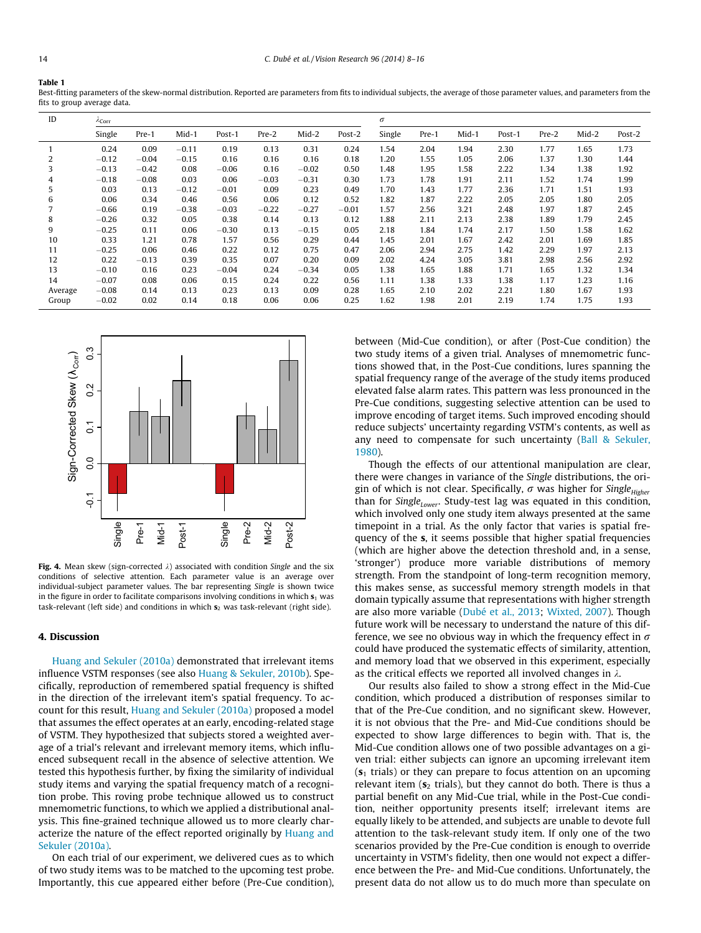#### <span id="page-6-0"></span>Table 1

Best-fitting parameters of the skew-normal distribution. Reported are parameters from fits to individual subjects, the average of those parameter values, and parameters from the fits to group average data.

| ID      | $\lambda$ Corr |         |         |         |         |         |         | $\sigma$ |       |       |        |       |         |        |
|---------|----------------|---------|---------|---------|---------|---------|---------|----------|-------|-------|--------|-------|---------|--------|
|         | Single         | Pre-1   | Mid-1   | Post-1  | $Pre-2$ | $Mid-2$ | Post-2  | Single   | Pre-1 | Mid-1 | Post-1 | Pre-2 | $Mid-2$ | Post-2 |
|         | 0.24           | 0.09    | $-0.11$ | 0.19    | 0.13    | 0.31    | 0.24    | 1.54     | 2.04  | 1.94  | 2.30   | 1.77  | 1.65    | 1.73   |
| 2       | $-0.12$        | $-0.04$ | $-0.15$ | 0.16    | 0.16    | 0.16    | 0.18    | 1.20     | 1.55  | 1.05  | 2.06   | 1.37  | 1.30    | 1.44   |
|         | $-0.13$        | $-0.42$ | 0.08    | $-0.06$ | 0.16    | $-0.02$ | 0.50    | 1.48     | 1.95  | 1.58  | 2.22   | 1.34  | 1.38    | 1.92   |
| 4       | $-0.18$        | $-0.08$ | 0.03    | 0.06    | $-0.03$ | $-0.31$ | 0.30    | 1.73     | 1.78  | 1.91  | 2.11   | 1.52  | 1.74    | 1.99   |
| 5       | 0.03           | 0.13    | $-0.12$ | $-0.01$ | 0.09    | 0.23    | 0.49    | 1.70     | 1.43  | 1.77  | 2.36   | 1.71  | 1.51    | 1.93   |
| 6       | 0.06           | 0.34    | 0.46    | 0.56    | 0.06    | 0.12    | 0.52    | 1.82     | 1.87  | 2.22  | 2.05   | 2.05  | 1.80    | 2.05   |
|         | $-0.66$        | 0.19    | $-0.38$ | $-0.03$ | $-0.22$ | $-0.27$ | $-0.01$ | 1.57     | 2.56  | 3.21  | 2.48   | 1.97  | 1.87    | 2.45   |
| 8       | $-0.26$        | 0.32    | 0.05    | 0.38    | 0.14    | 0.13    | 0.12    | 1.88     | 2.11  | 2.13  | 2.38   | 1.89  | 1.79    | 2.45   |
| 9       | $-0.25$        | 0.11    | 0.06    | $-0.30$ | 0.13    | $-0.15$ | 0.05    | 2.18     | 1.84  | 1.74  | 2.17   | 1.50  | 1.58    | 1.62   |
| 10      | 0.33           | 1.21    | 0.78    | 1.57    | 0.56    | 0.29    | 0.44    | 1.45     | 2.01  | 1.67  | 2.42   | 2.01  | 1.69    | 1.85   |
| 11      | $-0.25$        | 0.06    | 0.46    | 0.22    | 0.12    | 0.75    | 0.47    | 2.06     | 2.94  | 2.75  | 1.42   | 2.29  | 1.97    | 2.13   |
| 12      | 0.22           | $-0.13$ | 0.39    | 0.35    | 0.07    | 0.20    | 0.09    | 2.02     | 4.24  | 3.05  | 3.81   | 2.98  | 2.56    | 2.92   |
| 13      | $-0.10$        | 0.16    | 0.23    | $-0.04$ | 0.24    | $-0.34$ | 0.05    | 1.38     | 1.65  | 1.88  | 1.71   | 1.65  | 1.32    | 1.34   |
| 14      | $-0.07$        | 0.08    | 0.06    | 0.15    | 0.24    | 0.22    | 0.56    | 1.11     | 1.38  | 1.33  | 1.38   | 1.17  | 1.23    | 1.16   |
| Average | $-0.08$        | 0.14    | 0.13    | 0.23    | 0.13    | 0.09    | 0.28    | 1.65     | 2.10  | 2.02  | 2.21   | 1.80  | 1.67    | 1.93   |
| Group   | $-0.02$        | 0.02    | 0.14    | 0.18    | 0.06    | 0.06    | 0.25    | 1.62     | 1.98  | 2.01  | 2.19   | 1.74  | 1.75    | 1.93   |



Fig. 4. Mean skew (sign-corrected  $\lambda$ ) associated with condition Single and the six conditions of selective attention. Each parameter value is an average over individual-subject parameter values. The bar representing Single is shown twice in the figure in order to facilitate comparisons involving conditions in which  $s_1$  was task-relevant (left side) and conditions in which  $s_2$  was task-relevant (right side).

#### 4. Discussion

[Huang and Sekuler \(2010a\)](#page-8-0) demonstrated that irrelevant items influence VSTM responses (see also [Huang & Sekuler, 2010b\)](#page-8-0). Specifically, reproduction of remembered spatial frequency is shifted in the direction of the irrelevant item's spatial frequency. To account for this result, [Huang and Sekuler \(2010a\)](#page-8-0) proposed a model that assumes the effect operates at an early, encoding-related stage of VSTM. They hypothesized that subjects stored a weighted average of a trial's relevant and irrelevant memory items, which influenced subsequent recall in the absence of selective attention. We tested this hypothesis further, by fixing the similarity of individual study items and varying the spatial frequency match of a recognition probe. This roving probe technique allowed us to construct mnemometric functions, to which we applied a distributional analysis. This fine-grained technique allowed us to more clearly characterize the nature of the effect reported originally by [Huang and](#page-8-0) [Sekuler \(2010a\).](#page-8-0)

On each trial of our experiment, we delivered cues as to which of two study items was to be matched to the upcoming test probe. Importantly, this cue appeared either before (Pre-Cue condition),

between (Mid-Cue condition), or after (Post-Cue condition) the two study items of a given trial. Analyses of mnemometric functions showed that, in the Post-Cue conditions, lures spanning the spatial frequency range of the average of the study items produced elevated false alarm rates. This pattern was less pronounced in the Pre-Cue conditions, suggesting selective attention can be used to improve encoding of target items. Such improved encoding should reduce subjects' uncertainty regarding VSTM's contents, as well as any need to compensate for such uncertainty ([Ball & Sekuler,](#page-8-0) [1980\)](#page-8-0).

Though the effects of our attentional manipulation are clear, there were changes in variance of the Single distributions, the origin of which is not clear. Specifically,  $\sigma$  was higher for Single<sub>Higher</sub> than for  $Single_{Lower}$ . Study-test lag was equated in this condition, which involved only one study item always presented at the same timepoint in a trial. As the only factor that varies is spatial frequency of the s, it seems possible that higher spatial frequencies (which are higher above the detection threshold and, in a sense, 'stronger') produce more variable distributions of memory strength. From the standpoint of long-term recognition memory, this makes sense, as successful memory strength models in that domain typically assume that representations with higher strength are also more variable [\(Dubé et al., 2013](#page-8-0); [Wixted, 2007](#page-8-0)). Though future work will be necessary to understand the nature of this difference, we see no obvious way in which the frequency effect in  $\sigma$ could have produced the systematic effects of similarity, attention, and memory load that we observed in this experiment, especially as the critical effects we reported all involved changes in  $\lambda$ .

Our results also failed to show a strong effect in the Mid-Cue condition, which produced a distribution of responses similar to that of the Pre-Cue condition, and no significant skew. However, it is not obvious that the Pre- and Mid-Cue conditions should be expected to show large differences to begin with. That is, the Mid-Cue condition allows one of two possible advantages on a given trial: either subjects can ignore an upcoming irrelevant item  $(s<sub>1</sub>$  trials) or they can prepare to focus attention on an upcoming relevant item ( $s_2$  trials), but they cannot do both. There is thus a partial benefit on any Mid-Cue trial, while in the Post-Cue condition, neither opportunity presents itself; irrelevant items are equally likely to be attended, and subjects are unable to devote full attention to the task-relevant study item. If only one of the two scenarios provided by the Pre-Cue condition is enough to override uncertainty in VSTM's fidelity, then one would not expect a difference between the Pre- and Mid-Cue conditions. Unfortunately, the present data do not allow us to do much more than speculate on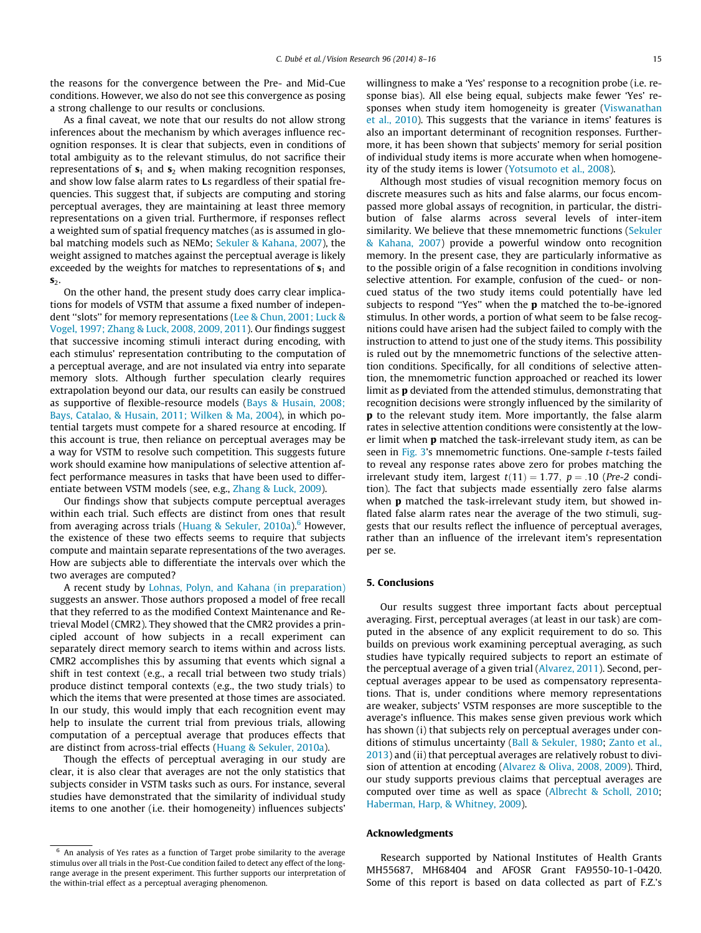the reasons for the convergence between the Pre- and Mid-Cue conditions. However, we also do not see this convergence as posing a strong challenge to our results or conclusions.

As a final caveat, we note that our results do not allow strong inferences about the mechanism by which averages influence recognition responses. It is clear that subjects, even in conditions of total ambiguity as to the relevant stimulus, do not sacrifice their representations of  $s_1$  and  $s_2$  when making recognition responses, and show low false alarm rates to Ls regardless of their spatial frequencies. This suggest that, if subjects are computing and storing perceptual averages, they are maintaining at least three memory representations on a given trial. Furthermore, if responses reflect a weighted sum of spatial frequency matches (as is assumed in global matching models such as NEMo; [Sekuler & Kahana, 2007\)](#page-8-0), the weight assigned to matches against the perceptual average is likely exceeded by the weights for matches to representations of  $s_1$  and  $S_2$ .

On the other hand, the present study does carry clear implications for models of VSTM that assume a fixed number of independent ''slots'' for memory representations ([Lee & Chun, 2001; Luck &](#page-8-0) [Vogel, 1997; Zhang & Luck, 2008, 2009, 2011\)](#page-8-0). Our findings suggest that successive incoming stimuli interact during encoding, with each stimulus' representation contributing to the computation of a perceptual average, and are not insulated via entry into separate memory slots. Although further speculation clearly requires extrapolation beyond our data, our results can easily be construed as supportive of flexible-resource models ([Bays & Husain, 2008;](#page-8-0) [Bays, Catalao, & Husain, 2011; Wilken & Ma, 2004](#page-8-0)), in which potential targets must compete for a shared resource at encoding. If this account is true, then reliance on perceptual averages may be a way for VSTM to resolve such competition. This suggests future work should examine how manipulations of selective attention affect performance measures in tasks that have been used to differentiate between VSTM models (see, e.g., [Zhang & Luck, 2009](#page-8-0)).

Our findings show that subjects compute perceptual averages within each trial. Such effects are distinct from ones that result from averaging across trials [\(Huang & Sekuler, 2010a](#page-8-0)).<sup>6</sup> However, the existence of these two effects seems to require that subjects compute and maintain separate representations of the two averages. How are subjects able to differentiate the intervals over which the two averages are computed?

A recent study by [Lohnas, Polyn, and Kahana \(in preparation\)](#page-8-0) suggests an answer. Those authors proposed a model of free recall that they referred to as the modified Context Maintenance and Retrieval Model (CMR2). They showed that the CMR2 provides a principled account of how subjects in a recall experiment can separately direct memory search to items within and across lists. CMR2 accomplishes this by assuming that events which signal a shift in test context (e.g., a recall trial between two study trials) produce distinct temporal contexts (e.g., the two study trials) to which the items that were presented at those times are associated. In our study, this would imply that each recognition event may help to insulate the current trial from previous trials, allowing computation of a perceptual average that produces effects that are distinct from across-trial effects [\(Huang & Sekuler, 2010a\)](#page-8-0).

Though the effects of perceptual averaging in our study are clear, it is also clear that averages are not the only statistics that subjects consider in VSTM tasks such as ours. For instance, several studies have demonstrated that the similarity of individual study items to one another (i.e. their homogeneity) influences subjects' willingness to make a 'Yes' response to a recognition probe (i.e. response bias). All else being equal, subjects make fewer 'Yes' responses when study item homogeneity is greater [\(Viswanathan](#page-8-0) [et al., 2010\)](#page-8-0). This suggests that the variance in items' features is also an important determinant of recognition responses. Furthermore, it has been shown that subjects' memory for serial position of individual study items is more accurate when when homogeneity of the study items is lower ([Yotsumoto et al., 2008](#page-8-0)).

Although most studies of visual recognition memory focus on discrete measures such as hits and false alarms, our focus encompassed more global assays of recognition, in particular, the distribution of false alarms across several levels of inter-item similarity. We believe that these mnemometric functions ([Sekuler](#page-8-0) [& Kahana, 2007\)](#page-8-0) provide a powerful window onto recognition memory. In the present case, they are particularly informative as to the possible origin of a false recognition in conditions involving selective attention. For example, confusion of the cued- or noncued status of the two study items could potentially have led subjects to respond "Yes" when the **p** matched the to-be-ignored stimulus. In other words, a portion of what seem to be false recognitions could have arisen had the subject failed to comply with the instruction to attend to just one of the study items. This possibility is ruled out by the mnemometric functions of the selective attention conditions. Specifically, for all conditions of selective attention, the mnemometric function approached or reached its lower limit as p deviated from the attended stimulus, demonstrating that recognition decisions were strongly influenced by the similarity of p to the relevant study item. More importantly, the false alarm rates in selective attention conditions were consistently at the lower limit when p matched the task-irrelevant study item, as can be seen in [Fig. 3](#page-5-0)'s mnemometric functions. One-sample t-tests failed to reveal any response rates above zero for probes matching the irrelevant study item, largest  $t(11) = 1.77$ ,  $p = .10$  (Pre-2 condition). The fact that subjects made essentially zero false alarms when **p** matched the task-irrelevant study item, but showed inflated false alarm rates near the average of the two stimuli, suggests that our results reflect the influence of perceptual averages, rather than an influence of the irrelevant item's representation per se.

## 5. Conclusions

Our results suggest three important facts about perceptual averaging. First, perceptual averages (at least in our task) are computed in the absence of any explicit requirement to do so. This builds on previous work examining perceptual averaging, as such studies have typically required subjects to report an estimate of the perceptual average of a given trial [\(Alvarez, 2011](#page-8-0)). Second, perceptual averages appear to be used as compensatory representations. That is, under conditions where memory representations are weaker, subjects' VSTM responses are more susceptible to the average's influence. This makes sense given previous work which has shown (i) that subjects rely on perceptual averages under conditions of stimulus uncertainty [\(Ball & Sekuler, 1980](#page-8-0); [Zanto et al.,](#page-8-0) [2013](#page-8-0)) and (ii) that perceptual averages are relatively robust to division of attention at encoding [\(Alvarez & Oliva, 2008, 2009\)](#page-8-0). Third, our study supports previous claims that perceptual averages are computed over time as well as space ([Albrecht & Scholl, 2010;](#page-8-0) [Haberman, Harp, & Whitney, 2009\)](#page-8-0).

#### Acknowledgments

Research supported by National Institutes of Health Grants MH55687, MH68404 and AFOSR Grant FA9550-10-1-0420. Some of this report is based on data collected as part of F.Z.'s

 $6$  An analysis of Yes rates as a function of Target probe similarity to the average stimulus over all trials in the Post-Cue condition failed to detect any effect of the longrange average in the present experiment. This further supports our interpretation of the within-trial effect as a perceptual averaging phenomenon.